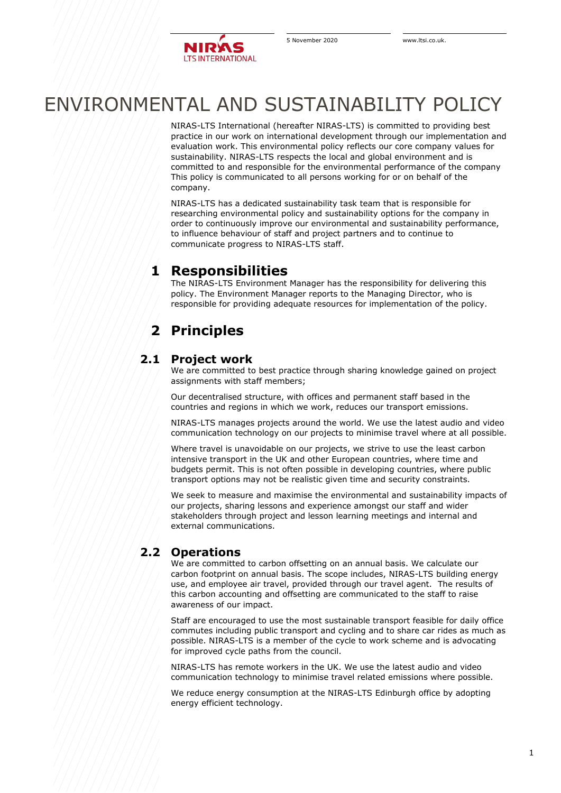

# ENVIRONMENTAL AND SUSTAINABILITY POLICY

NIRAS-LTS International (hereafter NIRAS-LTS) is committed to providing best practice in our work on international development through our implementation and evaluation work. This environmental policy reflects our core company values for sustainability. NIRAS-LTS respects the local and global environment and is committed to and responsible for the environmental performance of the company This policy is communicated to all persons working for or on behalf of the company.

NIRAS-LTS has a dedicated sustainability task team that is responsible for researching environmental policy and sustainability options for the company in order to continuously improve our environmental and sustainability performance, to influence behaviour of staff and project partners and to continue to communicate progress to NIRAS-LTS staff.

### **1 Responsibilities**

The NIRAS-LTS Environment Manager has the responsibility for delivering this policy. The Environment Manager reports to the Managing Director, who is responsible for providing adequate resources for implementation of the policy.

## **2 Principles**

#### **2.1 Project work**

We are committed to best practice through sharing knowledge gained on project assignments with staff members;

Our decentralised structure, with offices and permanent staff based in the countries and regions in which we work, reduces our transport emissions.

NIRAS-LTS manages projects around the world. We use the latest audio and video communication technology on our projects to minimise travel where at all possible.

Where travel is unavoidable on our projects, we strive to use the least carbon intensive transport in the UK and other European countries, where time and budgets permit. This is not often possible in developing countries, where public transport options may not be realistic given time and security constraints.

We seek to measure and maximise the environmental and sustainability impacts of our projects, sharing lessons and experience amongst our staff and wider stakeholders through project and lesson learning meetings and internal and external communications.

### **2.2 Operations**

We are committed to carbon offsetting on an annual basis. We calculate our carbon footprint on annual basis. The scope includes, NIRAS-LTS building energy use, and employee air travel, provided through our travel agent. The results of this carbon accounting and offsetting are communicated to the staff to raise awareness of our impact.

Staff are encouraged to use the most sustainable transport feasible for daily office commutes including public transport and cycling and to share car rides as much as possible. NIRAS-LTS is a member of the cycle to work scheme and is advocating for improved cycle paths from the council.

NIRAS-LTS has remote workers in the UK. We use the latest audio and video communication technology to minimise travel related emissions where possible.

We reduce energy consumption at the NIRAS-LTS Edinburgh office by adopting energy efficient technology.